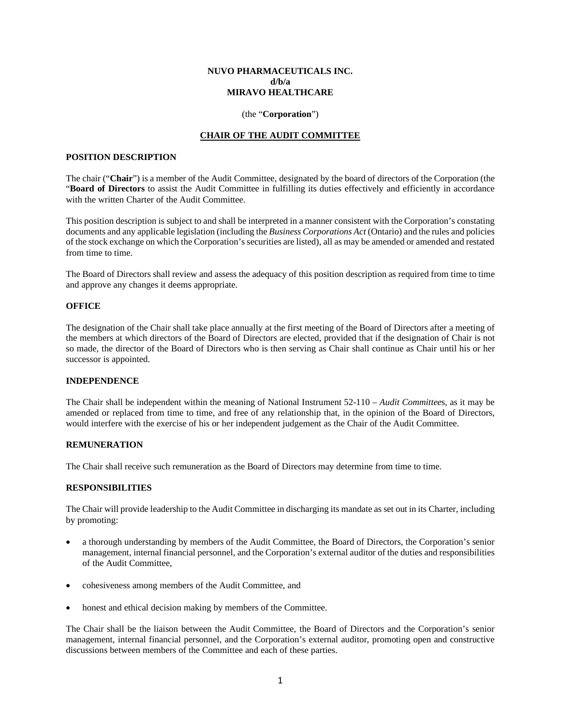## **NUVO PHARMACEUTICALS INC. d/b/a MIRAVO HEALTHCARE**

## (the "**Corporation**")

# **CHAIR OF THE AUDIT COMMITTEE**

## **POSITION DESCRIPTION**

The chair ("**Chair**") is a member of the Audit Committee, designated by the board of directors of the Corporation (the "**Board of Directors** to assist the Audit Committee in fulfilling its duties effectively and efficiently in accordance with the written Charter of the Audit Committee.

This position description is subject to and shall be interpreted in a manner consistent with the Corporation's constating documents and any applicable legislation (including the *Business Corporations Act* (Ontario) and the rules and policies of the stock exchange on which the Corporation's securities are listed), all as may be amended or amended and restated from time to time.

The Board of Directors shall review and assess the adequacy of this position description as required from time to time and approve any changes it deems appropriate.

# **OFFICE**

The designation of the Chair shall take place annually at the first meeting of the Board of Directors after a meeting of the members at which directors of the Board of Directors are elected, provided that if the designation of Chair is not so made, the director of the Board of Directors who is then serving as Chair shall continue as Chair until his or her successor is appointed.

#### **INDEPENDENCE**

The Chair shall be independent within the meaning of National Instrument 52-110 – *Audit Committee*s, as it may be amended or replaced from time to time, and free of any relationship that, in the opinion of the Board of Directors, would interfere with the exercise of his or her independent judgement as the Chair of the Audit Committee.

## **REMUNERATION**

The Chair shall receive such remuneration as the Board of Directors may determine from time to time.

## **RESPONSIBILITIES**

The Chair will provide leadership to the Audit Committee in discharging its mandate as set out in its Charter, including by promoting:

- a thorough understanding by members of the Audit Committee, the Board of Directors, the Corporation's senior management, internal financial personnel, and the Corporation's external auditor of the duties and responsibilities of the Audit Committee,
- cohesiveness among members of the Audit Committee, and
- honest and ethical decision making by members of the Committee.

The Chair shall be the liaison between the Audit Committee, the Board of Directors and the Corporation's senior management, internal financial personnel, and the Corporation's external auditor, promoting open and constructive discussions between members of the Committee and each of these parties.